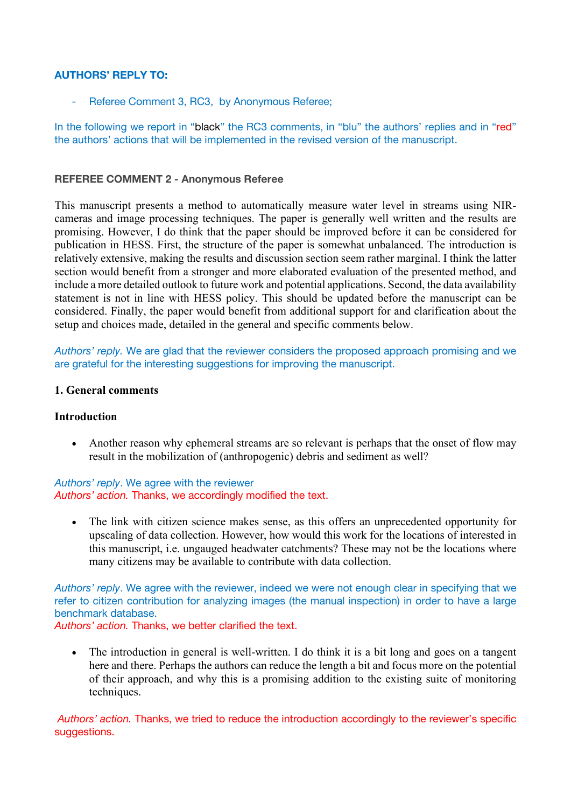#### **AUTHORS' REPLY TO:**

- Referee Comment 3, RC3, by Anonymous Referee;

In the following we report in "black" the RC3 comments, in "blu" the authors' replies and in "red" the authors' actions that will be implemented in the revised version of the manuscript.

#### **REFEREE COMMENT 2 - Anonymous Referee**

This manuscript presents a method to automatically measure water level in streams using NIRcameras and image processing techniques. The paper is generally well written and the results are promising. However, I do think that the paper should be improved before it can be considered for publication in HESS. First, the structure of the paper is somewhat unbalanced. The introduction is relatively extensive, making the results and discussion section seem rather marginal. I think the latter section would benefit from a stronger and more elaborated evaluation of the presented method, and include a more detailed outlook to future work and potential applications. Second, the data availability statement is not in line with HESS policy. This should be updated before the manuscript can be considered. Finally, the paper would benefit from additional support for and clarification about the setup and choices made, detailed in the general and specific comments below.

*Authors' reply.* We are glad that the reviewer considers the proposed approach promising and we are grateful for the interesting suggestions for improving the manuscript.

#### **1. General comments**

#### **Introduction**

• Another reason why ephemeral streams are so relevant is perhaps that the onset of flow may result in the mobilization of (anthropogenic) debris and sediment as well?

### *Authors' reply*. We agree with the reviewer *Authors' action.* Thanks, we accordingly modified the text.

• The link with citizen science makes sense, as this offers an unprecedented opportunity for upscaling of data collection. However, how would this work for the locations of interested in this manuscript, i.e. ungauged headwater catchments? These may not be the locations where many citizens may be available to contribute with data collection.

*Authors' reply*. We agree with the reviewer, indeed we were not enough clear in specifying that we refer to citizen contribution for analyzing images (the manual inspection) in order to have a large benchmark database.

*Authors' action.* Thanks, we better clarified the text.

• The introduction in general is well-written. I do think it is a bit long and goes on a tangent here and there. Perhaps the authors can reduce the length a bit and focus more on the potential of their approach, and why this is a promising addition to the existing suite of monitoring techniques.

*Authors' action.* Thanks, we tried to reduce the introduction accordingly to the reviewer's specific suggestions.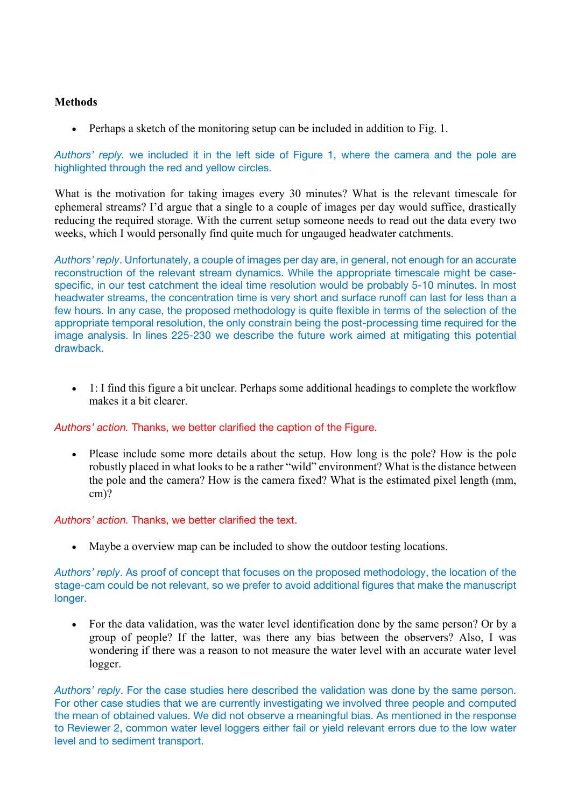# **Methods**

• Perhaps a sketch of the monitoring setup can be included in addition to Fig. 1.

*Authors' reply.* we included it in the left side of Figure 1, where the camera and the pole are highlighted through the red and yellow circles.

What is the motivation for taking images every 30 minutes? What is the relevant timescale for ephemeral streams? I'd argue that a single to a couple of images per day would suffice, drastically reducing the required storage. With the current setup someone needs to read out the data every two weeks, which I would personally find quite much for ungauged headwater catchments.

*Authors' reply*. Unfortunately, a couple of images per day are, in general, not enough for an accurate reconstruction of the relevant stream dynamics. While the appropriate timescale might be casespecific, in our test catchment the ideal time resolution would be probably 5-10 minutes. In most headwater streams, the concentration time is very short and surface runoff can last for less than a few hours. In any case, the proposed methodology is quite flexible in terms of the selection of the appropriate temporal resolution, the only constrain being the post-processing time required for the image analysis. In lines 225-230 we describe the future work aimed at mitigating this potential drawback.

• 1: I find this figure a bit unclear. Perhaps some additional headings to complete the workflow makes it a bit clearer.

*Authors' action.* Thanks, we better clarified the caption of the Figure.

• Please include some more details about the setup. How long is the pole? How is the pole robustly placed in what looks to be a rather "wild" environment? What is the distance between the pole and the camera? How is the camera fixed? What is the estimated pixel length (mm, cm)?

*Authors' action.* Thanks, we better clarified the text.

• Maybe a overview map can be included to show the outdoor testing locations.

*Authors' reply*. As proof of concept that focuses on the proposed methodology, the location of the stage-cam could be not relevant, so we prefer to avoid additional figures that make the manuscript longer.

• For the data validation, was the water level identification done by the same person? Or by a group of people? If the latter, was there any bias between the observers? Also, I was wondering if there was a reason to not measure the water level with an accurate water level logger.

*Authors' reply*. For the case studies here described the validation was done by the same person. For other case studies that we are currently investigating we involved three people and computed the mean of obtained values. We did not observe a meaningful bias. As mentioned in the response to Reviewer 2, common water level loggers either fail or yield relevant errors due to the low water level and to sediment transport.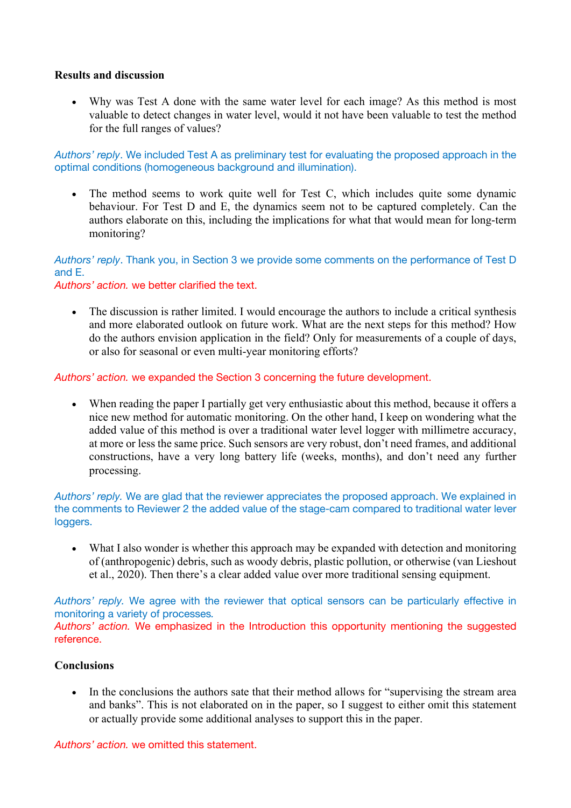### **Results and discussion**

• Why was Test A done with the same water level for each image? As this method is most valuable to detect changes in water level, would it not have been valuable to test the method for the full ranges of values?

*Authors' reply*. We included Test A as preliminary test for evaluating the proposed approach in the optimal conditions (homogeneous background and illumination).

• The method seems to work quite well for Test C, which includes quite some dynamic behaviour. For Test D and E, the dynamics seem not to be captured completely. Can the authors elaborate on this, including the implications for what that would mean for long-term monitoring?

*Authors' reply*. Thank you, in Section 3 we provide some comments on the performance of Test D and E.

*Authors' action.* we better clarified the text.

• The discussion is rather limited. I would encourage the authors to include a critical synthesis and more elaborated outlook on future work. What are the next steps for this method? How do the authors envision application in the field? Only for measurements of a couple of days, or also for seasonal or even multi-year monitoring efforts?

*Authors' action.* we expanded the Section 3 concerning the future development.

• When reading the paper I partially get very enthusiastic about this method, because it offers a nice new method for automatic monitoring. On the other hand, I keep on wondering what the added value of this method is over a traditional water level logger with millimetre accuracy, at more or less the same price. Such sensors are very robust, don't need frames, and additional constructions, have a very long battery life (weeks, months), and don't need any further processing.

*Authors' reply.* We are glad that the reviewer appreciates the proposed approach. We explained in the comments to Reviewer 2 the added value of the stage-cam compared to traditional water lever loggers.

• What I also wonder is whether this approach may be expanded with detection and monitoring of (anthropogenic) debris, such as woody debris, plastic pollution, or otherwise (van Lieshout et al., 2020). Then there's a clear added value over more traditional sensing equipment.

*Authors' reply.* We agree with the reviewer that optical sensors can be particularly effective in monitoring a variety of processes*.*

*Authors' action.* We emphasized in the Introduction this opportunity mentioning the suggested reference.

# **Conclusions**

In the conclusions the authors sate that their method allows for "supervising the stream area and banks". This is not elaborated on in the paper, so I suggest to either omit this statement or actually provide some additional analyses to support this in the paper.

*Authors' action.* we omitted this statement.